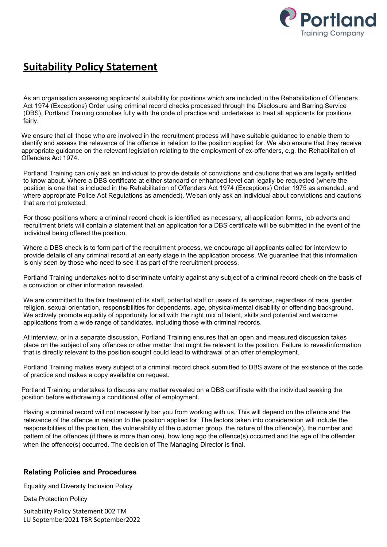

## Suitability Policy Statement

As an organisation assessing applicants' suitability for positions which are included in the Rehabilitation of Offenders Act 1974 (Exceptions) Order using criminal record checks processed through the Disclosure and Barring Service (DBS), Portland Training complies fully with the code of practice and undertakes to treat all applicants for positions fairly.

We ensure that all those who are involved in the recruitment process will have suitable guidance to enable them to identify and assess the relevance of the offence in relation to the position applied for. We also ensure that they receive appropriate guidance on the relevant legislation relating to the employment of ex-offenders, e.g. the Rehabilitation of Offenders Act 1974.

Portland Training can only ask an individual to provide details of convictions and cautions that we are legally entitled to know about. Where a DBS certificate at either standard or enhanced level can legally be requested (where the position is one that is included in the Rehabilitation of Offenders Act 1974 (Exceptions) Order 1975 as amended, and where appropriate Police Act Regulations as amended). We can only ask an individual about convictions and cautions that are not protected.

For those positions where a criminal record check is identified as necessary, all application forms, job adverts and recruitment briefs will contain a statement that an application for a DBS certificate will be submitted in the event of the individual being offered the position.

Where a DBS check is to form part of the recruitment process, we encourage all applicants called for interview to provide details of any criminal record at an early stage in the application process. We guarantee that this information is only seen by those who need to see it as part of the recruitment process.

Portland Training undertakes not to discriminate unfairly against any subject of a criminal record check on the basis of a conviction or other information revealed.

We are committed to the fair treatment of its staff, potential staff or users of its services, regardless of race, gender, religion, sexual orientation, responsibilities for dependants, age, physical/mental disability or offending background. We actively promote equality of opportunity for all with the right mix of talent, skills and potential and welcome applications from a wide range of candidates, including those with criminal records.

At interview, or in a separate discussion, Portland Training ensures that an open and measured discussion takes place on the subject of any offences or other matter that might be relevant to the position. Failure to reveal information that is directly relevant to the position sought could lead to withdrawal of an offer of employment.

Portland Training makes every subject of a criminal record check submitted to DBS aware of the existence of the code of practice and makes a copy available on request.

Portland Training undertakes to discuss any matter revealed on a DBS certificate with the individual seeking the position before withdrawing a conditional offer of employment.

Having a criminal record will not necessarily bar you from working with us. This will depend on the offence and the relevance of the offence in relation to the position applied for. The factors taken into consideration will include the responsibilities of the position, the vulnerability of the customer group, the nature of the offence(s), the number and pattern of the offences (if there is more than one), how long ago the offence(s) occurred and the age of the offender when the offence(s) occurred. The decision of The Managing Director is final.

## Relating Policies and Procedures

Equality and Diversity Inclusion Policy

Data Protection Policy

Suitability Policy Statement 002 TM LU September2021 TBR September2022